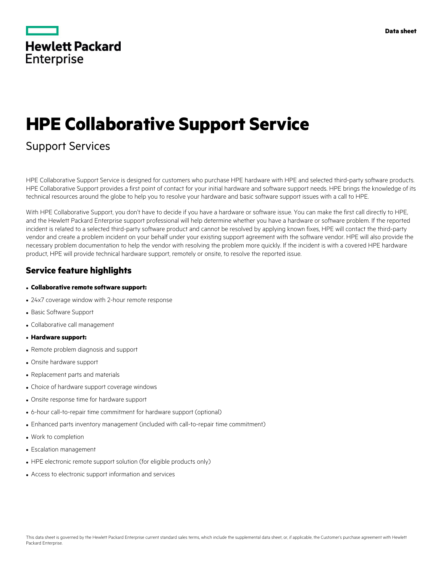|                   | <b>Hewlett Packard</b> |
|-------------------|------------------------|
| <b>Enterprise</b> |                        |

# **HPE Collaborative Support Service**

## Support Services

HPE Collaborative Support Service is designed for customers who purchase HPE hardware with HPE and selected third-party software products. HPE Collaborative Support provides a first point of contact for your initial hardware and software support needs. HPE brings the knowledge of its technical resources around the globe to help you to resolve your hardware and basic software support issues with a call to HPE.

With HPE Collaborative Support, you don't have to decide if you have a hardware or software issue. You can make the first call directly to HPE, and the Hewlett Packard Enterprise support professional will help determine whether you have a hardware or software problem. If the reported incident is related to a selected third-party software product and cannot be resolved by applying known fixes, HPE will contact the third-party vendor and create a problem incident on your behalf under your existing support agreement with the software vendor. HPE will also provide the necessary problem documentation to help the vendor with resolving the problem more quickly. If the incident is with a covered HPE hardware product, HPE will provide technical hardware support, remotely or onsite, to resolve the reported issue.

#### **Service feature highlights**

#### • **Collaborative remote software support:**

- 24x7 coverage window with 2-hour remote response
- Basic Software Support
- Collaborative call management
- **Hardware support:**
- Remote problem diagnosis and support
- Onsite hardware support
- Replacement parts and materials
- Choice of hardware support coverage windows
- Onsite response time for hardware support
- 6-hour call-to-repair time commitment for hardware support (optional)
- Enhanced parts inventory management (included with call-to-repair time commitment)
- Work to completion
- Escalation management
- HPE electronic remote support solution (for eligible products only)
- Access to electronic support information and services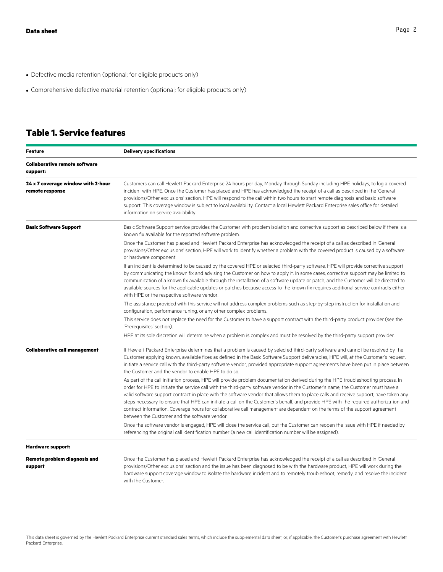- Defective media retention (optional; for eligible products only)
- Comprehensive defective material retention (optional; for eligible products only)

### **Table 1. Service features**

| <b>Feature</b>                                        | <b>Delivery specifications</b>                                                                                                                                                                                                                                                                                                                                                                                                                                                                                                                                                                                                                                                                                                        |  |
|-------------------------------------------------------|---------------------------------------------------------------------------------------------------------------------------------------------------------------------------------------------------------------------------------------------------------------------------------------------------------------------------------------------------------------------------------------------------------------------------------------------------------------------------------------------------------------------------------------------------------------------------------------------------------------------------------------------------------------------------------------------------------------------------------------|--|
| <b>Collaborative remote software</b><br>support:      |                                                                                                                                                                                                                                                                                                                                                                                                                                                                                                                                                                                                                                                                                                                                       |  |
| 24 x 7 coverage window with 2-hour<br>remote response | Customers can call Hewlett Packard Enterprise 24 hours per day, Monday through Sunday including HPE holidays, to log a covered<br>incident with HPE. Once the Customer has placed and HPE has acknowledged the receipt of a call as described in the 'General<br>provisions/Other exclusions' section, HPE will respond to the call within two hours to start remote diagnosis and basic software<br>support. This coverage window is subject to local availability. Contact a local Hewlett Packard Enterprise sales office for detailed<br>information on service availability.                                                                                                                                                     |  |
| <b>Basic Software Support</b>                         | Basic Software Support service provides the Customer with problem isolation and corrective support as described below if there is a<br>known fix available for the reported software problem.                                                                                                                                                                                                                                                                                                                                                                                                                                                                                                                                         |  |
|                                                       | Once the Customer has placed and Hewlett Packard Enterprise has acknowledged the receipt of a call as described in 'General<br>provisions/Other exclusions' section, HPE will work to identify whether a problem with the covered product is caused by a software<br>or hardware component.                                                                                                                                                                                                                                                                                                                                                                                                                                           |  |
|                                                       | If an incident is determined to be caused by the covered HPE or selected third-party software, HPE will provide corrective support<br>by communicating the known fix and advising the Customer on how to apply it. In some cases, corrective support may be limited to<br>communication of a known fix available through the installation of a software update or patch, and the Customer will be directed to<br>available sources for the applicable updates or patches because access to the known fix requires additional service contracts either<br>with HPE or the respective software vendor.                                                                                                                                  |  |
|                                                       | The assistance provided with this service will not address complex problems such as step-by-step instruction for installation and<br>configuration, performance tuning, or any other complex problems.                                                                                                                                                                                                                                                                                                                                                                                                                                                                                                                                |  |
|                                                       | This service does not replace the need for the Customer to have a support contract with the third-party product provider (see the<br>'Prerequisites' section).                                                                                                                                                                                                                                                                                                                                                                                                                                                                                                                                                                        |  |
|                                                       | HPE at its sole discretion will determine when a problem is complex and must be resolved by the third-party support provider.                                                                                                                                                                                                                                                                                                                                                                                                                                                                                                                                                                                                         |  |
| <b>Collaborative call management</b>                  | If Hewlett Packard Enterprise determines that a problem is caused by selected third-party software and cannot be resolved by the<br>Customer applying known, available fixes as defined in the Basic Software Support deliverables, HPE will, at the Customer's request,<br>initiate a service call with the third-party software vendor, provided appropriate support agreements have been put in place between<br>the Customer and the vendor to enable HPE to do so.                                                                                                                                                                                                                                                               |  |
|                                                       | As part of the call initiation process, HPE will provide problem documentation derived during the HPE troubleshooting process. In<br>order for HPE to initiate the service call with the third-party software vendor in the Customer's name, the Customer must have a<br>valid software support contract in place with the software vendor that allows them to place calls and receive support, have taken any<br>steps necessary to ensure that HPE can initiate a call on the Customer's behalf, and provide HPE with the required authorization and<br>contract information. Coverage hours for collaborative call management are dependent on the terms of the support agreement<br>between the Customer and the software vendor. |  |
|                                                       | Once the software vendor is engaged, HPE will close the service call, but the Customer can reopen the issue with HPE if needed by<br>referencing the original call identification number (a new call identification number will be assigned).                                                                                                                                                                                                                                                                                                                                                                                                                                                                                         |  |
| <b>Hardware support:</b>                              |                                                                                                                                                                                                                                                                                                                                                                                                                                                                                                                                                                                                                                                                                                                                       |  |
| <b>Remote problem diagnosis and</b><br>support        | Once the Customer has placed and Hewlett Packard Enterprise has acknowledged the receipt of a call as described in 'General<br>provisions/Other exclusions' section and the issue has been diagnosed to be with the hardware product, HPE will work during the<br>hardware support coverage window to isolate the hardware incident and to remotely troubleshoot, remedy, and resolve the incident<br>with the Customer.                                                                                                                                                                                                                                                                                                              |  |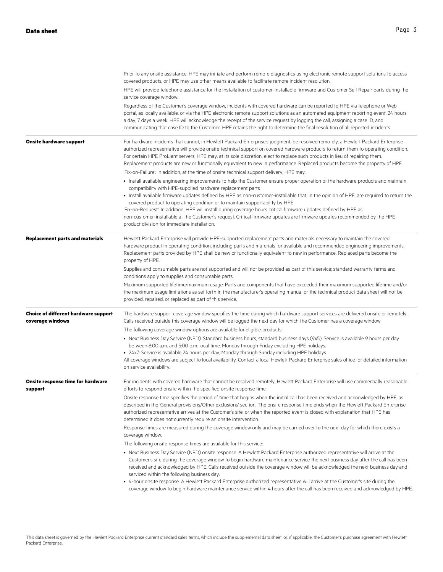|                                                                 | Prior to any onsite assistance, HPE may initiate and perform remote diagnostics using electronic remote support solutions to access<br>covered products, or HPE may use other means available to facilitate remote incident resolution.                                                                                                                                                                                                                                                                                                                                                                                                                                                                                   |
|-----------------------------------------------------------------|---------------------------------------------------------------------------------------------------------------------------------------------------------------------------------------------------------------------------------------------------------------------------------------------------------------------------------------------------------------------------------------------------------------------------------------------------------------------------------------------------------------------------------------------------------------------------------------------------------------------------------------------------------------------------------------------------------------------------|
|                                                                 | HPE will provide telephone assistance for the installation of customer-installable firmware and Customer Self Repair parts during the<br>service coverage window.                                                                                                                                                                                                                                                                                                                                                                                                                                                                                                                                                         |
|                                                                 | Regardless of the Customer's coverage window, incidents with covered hardware can be reported to HPE via telephone or Web<br>portal, as locally available, or via the HPE electronic remote support solutions as an automated equipment reporting event, 24 hours<br>a day, 7 days a week. HPE will acknowledge the receipt of the service request by logging the call, assigning a case ID, and<br>communicating that case ID to the Customer. HPE retains the right to determine the final resolution of all reported incidents.                                                                                                                                                                                        |
| <b>Onsite hardware support</b>                                  | For hardware incidents that cannot, in Hewlett Packard Enterprise's judgment, be resolved remotely, a Hewlett Packard Enterprise<br>authorized representative will provide onsite technical support on covered hardware products to return them to operating condition.<br>For certain HPE ProLiant servers, HPE may, at its sole discretion, elect to replace such products in lieu of repairing them.<br>Replacement products are new or functionally equivalent to new in performance. Replaced products become the property of HPE.                                                                                                                                                                                   |
|                                                                 | 'Fix-on-Failure': In addition, at the time of onsite technical support delivery, HPE may:                                                                                                                                                                                                                                                                                                                                                                                                                                                                                                                                                                                                                                 |
|                                                                 | • Install available engineering improvements to help the Customer ensure proper operation of the hardware products and maintain<br>compatibility with HPE-supplied hardware replacement parts<br>• Install available firmware updates defined by HPE as non-customer-installable that, in the opinion of HPE, are required to return the<br>covered product to operating condition or to maintain supportability by HPE<br>'Fix-on-Request': In addition, HPE will install during coverage hours critical firmware updates defined by HPE as<br>non-customer-installable at the Customer's request. Critical firmware updates are firmware updates recommended by the HPE<br>product division for immediate installation. |
| <b>Replacement parts and materials</b>                          | Hewlett Packard Enterprise will provide HPE-supported replacement parts and materials necessary to maintain the covered<br>hardware product in operating condition, including parts and materials for available and recommended engineering improvements.<br>Replacement parts provided by HPE shall be new or functionally equivalent to new in performance. Replaced parts become the<br>property of HPE.                                                                                                                                                                                                                                                                                                               |
|                                                                 | Supplies and consumable parts are not supported and will not be provided as part of this service; standard warranty terms and<br>conditions apply to supplies and consumable parts.                                                                                                                                                                                                                                                                                                                                                                                                                                                                                                                                       |
|                                                                 | Maximum supported lifetime/maximum usage: Parts and components that have exceeded their maximum supported lifetime and/or<br>the maximum usage limitations as set forth in the manufacturer's operating manual or the technical product data sheet will not be<br>provided, repaired, or replaced as part of this service.                                                                                                                                                                                                                                                                                                                                                                                                |
| <b>Choice of different hardware support</b><br>coverage windows | The hardware support coverage window specifies the time during which hardware support services are delivered onsite or remotely.<br>Calls received outside this coverage window will be logged the next day for which the Customer has a coverage window.                                                                                                                                                                                                                                                                                                                                                                                                                                                                 |
|                                                                 | The following coverage window options are available for eligible products:                                                                                                                                                                                                                                                                                                                                                                                                                                                                                                                                                                                                                                                |
|                                                                 | • Next Business Day Service (NBD): Standard business hours, standard business days (9x5): Service is available 9 hours per day<br>between 8:00 a.m. and 5:00 p.m. local time, Monday through Friday excluding HPE holidays.<br>• 24x7: Service is available 24 hours per day, Monday through Sunday including HPE holidays.                                                                                                                                                                                                                                                                                                                                                                                               |
|                                                                 | All coverage windows are subject to local availability. Contact a local Hewlett Packard Enterprise sales office for detailed information<br>on service availability.                                                                                                                                                                                                                                                                                                                                                                                                                                                                                                                                                      |
| <b>Onsite response time for hardware</b><br>support             | For incidents with covered hardware that cannot be resolved remotely, Hewlett Packard Enterprise will use commercially reasonable<br>efforts to respond onsite within the specified onsite response time.                                                                                                                                                                                                                                                                                                                                                                                                                                                                                                                 |
|                                                                 | Onsite response time specifies the period of time that begins when the initial call has been received and acknowledged by HPE, as<br>described in the 'General provisions/Other exclusions' section. The onsite response time ends when the Hewlett Packard Enterprise<br>authorized representative arrives at the Customer's site, or when the reported event is closed with explanation that HPE has<br>determined it does not currently require an onsite intervention.                                                                                                                                                                                                                                                |
|                                                                 | Response times are measured during the coverage window only and may be carried over to the next day for which there exists a<br>coverage window.                                                                                                                                                                                                                                                                                                                                                                                                                                                                                                                                                                          |
|                                                                 | The following onsite response times are available for this service:                                                                                                                                                                                                                                                                                                                                                                                                                                                                                                                                                                                                                                                       |
|                                                                 | • Next Business Day Service (NBD) onsite response: A Hewlett Packard Enterprise authorized representative will arrive at the<br>Customer's site during the coverage window to begin hardware maintenance service the next business day after the call has been<br>received and acknowledged by HPE. Calls received outside the coverage window will be acknowledged the next business day and<br>serviced within the following business day.                                                                                                                                                                                                                                                                              |
|                                                                 | • 4-hour onsite response: A Hewlett Packard Enterprise authorized representative will arrive at the Customer's site during the<br>coverage window to begin hardware maintenance service within 4 hours after the call has been received and acknowledged by HPE.                                                                                                                                                                                                                                                                                                                                                                                                                                                          |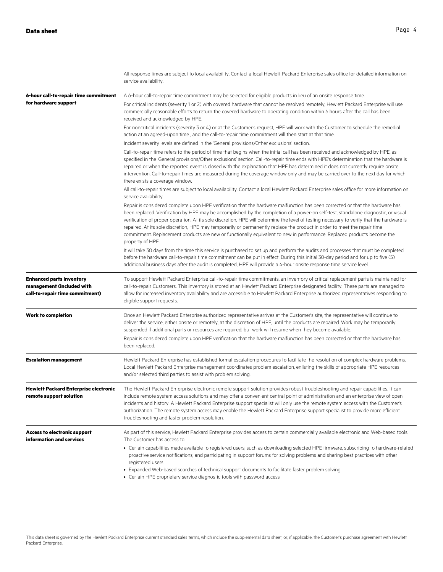|                                                                                                 | All response times are subject to local availability. Contact a local Hewlett Packard Enterprise sales office for detailed information on<br>service availability.                                                                                                                                                                                                                                                                                                                                                                                                                                                                                                                            |
|-------------------------------------------------------------------------------------------------|-----------------------------------------------------------------------------------------------------------------------------------------------------------------------------------------------------------------------------------------------------------------------------------------------------------------------------------------------------------------------------------------------------------------------------------------------------------------------------------------------------------------------------------------------------------------------------------------------------------------------------------------------------------------------------------------------|
| 6-hour call-to-repair time commitment                                                           | A 6-hour call-to-repair time commitment may be selected for eligible products in lieu of an onsite response time.                                                                                                                                                                                                                                                                                                                                                                                                                                                                                                                                                                             |
| for hardware support                                                                            | For critical incidents (severity 1 or 2) with covered hardware that cannot be resolved remotely, Hewlett Packard Enterprise will use<br>commercially reasonable efforts to return the covered hardware to operating condition within 6 hours after the call has been<br>received and acknowledged by HPE.                                                                                                                                                                                                                                                                                                                                                                                     |
|                                                                                                 | For noncritical incidents (severity 3 or 4) or at the Customer's request, HPE will work with the Customer to schedule the remedial<br>action at an agreed-upon time, and the call-to-repair time commitment will then start at that time.                                                                                                                                                                                                                                                                                                                                                                                                                                                     |
|                                                                                                 | Incident severity levels are defined in the 'General provisions/Other exclusions' section.                                                                                                                                                                                                                                                                                                                                                                                                                                                                                                                                                                                                    |
|                                                                                                 | Call-to-repair time refers to the period of time that begins when the initial call has been received and acknowledged by HPE, as<br>specified in the 'General provisions/Other exclusions' section. Call-to-repair time ends with HPE's determination that the hardware is<br>repaired or when the reported event is closed with the explanation that HPE has determined it does not currently require onsite<br>intervention. Call-to-repair times are measured during the coverage window only and may be carried over to the next day for which<br>there exists a coverage window.                                                                                                         |
|                                                                                                 | All call-to-repair times are subject to local availability. Contact a local Hewlett Packard Enterprise sales office for more information on<br>service availability.                                                                                                                                                                                                                                                                                                                                                                                                                                                                                                                          |
|                                                                                                 | Repair is considered complete upon HPE verification that the hardware malfunction has been corrected or that the hardware has<br>been replaced. Verification by HPE may be accomplished by the completion of a power-on self-test, standalone diagnostic, or visual<br>verification of proper operation. At its sole discretion, HPE will determine the level of testing necessary to verify that the hardware is<br>repaired. At its sole discretion, HPE may temporarily or permanently replace the product in order to meet the repair time<br>commitment. Replacement products are new or functionally equivalent to new in performance. Replaced products become the<br>property of HPE. |
|                                                                                                 | It will take 30 days from the time this service is purchased to set up and perform the audits and processes that must be completed<br>before the hardware call-to-repair time commitment can be put in effect. During this initial 30-day period and for up to five (5)<br>additional business days after the audit is completed. HPE will provide a 4-hour onsite response time service level.                                                                                                                                                                                                                                                                                               |
| <b>Enhanced parts inventory</b><br>management (included with<br>call-to-repair time commitment) | To support Hewlett Packard Enterprise call-to-repair time commitments, an inventory of critical replacement parts is maintained for<br>call-to-repair Customers. This inventory is stored at an Hewlett Packard Enterprise designated facility. These parts are managed to<br>allow for increased inventory availability and are accessible to Hewlett Packard Enterprise authorized representatives responding to<br>eligible support requests.                                                                                                                                                                                                                                              |
| <b>Work to completion</b>                                                                       | Once an Hewlett Packard Enterprise authorized representative arrives at the Customer's site, the representative will continue to<br>deliver the service, either onsite or remotely, at the discretion of HPE, until the products are repaired. Work may be temporarily<br>suspended if additional parts or resources are required, but work will resume when they become available.                                                                                                                                                                                                                                                                                                           |
|                                                                                                 | Repair is considered complete upon HPE verification that the hardware malfunction has been corrected or that the hardware has<br>been replaced.                                                                                                                                                                                                                                                                                                                                                                                                                                                                                                                                               |
| <b>Escalation management</b>                                                                    | Hewlett Packard Enterprise has established formal escalation procedures to facilitate the resolution of complex hardware problems.<br>Local Hewlett Packard Enterprise management coordinates problem escalation, enlisting the skills of appropriate HPE resources<br>and/or selected third parties to assist with problem solving.                                                                                                                                                                                                                                                                                                                                                          |
| <b>Hewlett Packard Enterprise electronic</b><br>remote support solution                         | The Hewlett Packard Enterprise electronic remote support solution provides robust troubleshooting and repair capabilities. It can<br>include remote system access solutions and may offer a convenient central point of administration and an enterprise view of open<br>incidents and history. A Hewlett Packard Enterprise support specialist will only use the remote system access with the Customer's<br>authorization. The remote system access may enable the Hewlett Packard Enterprise support specialist to provide more efficient<br>troubleshooting and faster problem resolution.                                                                                                |
| Access to electronic support<br>information and services                                        | As part of this service, Hewlett Packard Enterprise provides access to certain commercially available electronic and Web-based tools.<br>The Customer has access to:                                                                                                                                                                                                                                                                                                                                                                                                                                                                                                                          |
|                                                                                                 | • Certain capabilities made available to registered users, such as downloading selected HPE firmware, subscribing to hardware-related<br>proactive service notifications, and participating in support forums for solving problems and sharing best practices with other<br>registered users<br>• Expanded Web-based searches of technical support documents to facilitate faster problem solving                                                                                                                                                                                                                                                                                             |

• Certain HPE proprietary service diagnostic tools with password access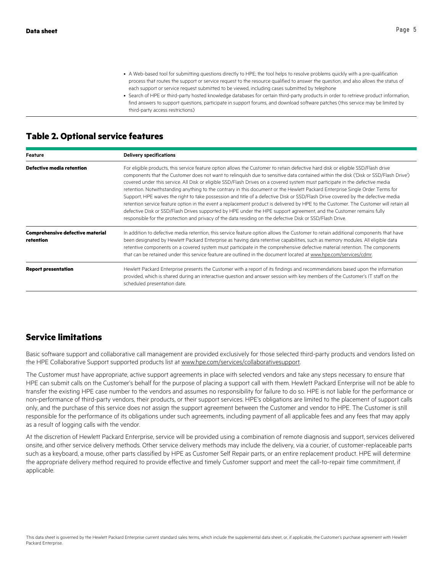- A Web-based tool for submitting questions directly to HPE; the tool helps to resolve problems quickly with a pre-qualification process that routes the support or service request to the resource qualified to answer the question, and also allows the status of each support or service request submitted to be viewed, including cases submitted by telephone
- Search of HPE or third-party hosted knowledge databases for certain third-party products in order to retrieve product information, find answers to support questions, participate in support forums, and download software patches (this service may be limited by third-party access restrictions)

#### **Table 2. Optional service features**

| Feature                                              | <b>Delivery specifications</b>                                                                                                                                                                                                                                                                                                                                                                                                                                                                                                                                                                                                                                                                                                                                                                                                                                                                                                                                                                                                                              |  |
|------------------------------------------------------|-------------------------------------------------------------------------------------------------------------------------------------------------------------------------------------------------------------------------------------------------------------------------------------------------------------------------------------------------------------------------------------------------------------------------------------------------------------------------------------------------------------------------------------------------------------------------------------------------------------------------------------------------------------------------------------------------------------------------------------------------------------------------------------------------------------------------------------------------------------------------------------------------------------------------------------------------------------------------------------------------------------------------------------------------------------|--|
| <b>Defective media retention</b>                     | For eligible products, this service feature option allows the Customer to retain defective hard disk or eligible SSD/Flash drive<br>components that the Customer does not want to relinquish due to sensitive data contained within the disk ('Disk or SSD/Flash Drive')<br>covered under this service. All Disk or eligible SSD/Flash Drives on a covered system must participate in the defective media<br>retention. Notwithstanding anything to the contrary in this document or the Hewlett Packard Enterprise Single Order Terms for<br>Support, HPE waives the right to take possession and title of a defective Disk or SSD/Flash Drive covered by the defective media<br>retention service feature option in the event a replacement product is delivered by HPE to the Customer. The Customer will retain all<br>defective Disk or SSD/Flash Drives supported by HPE under the HPE support agreement, and the Customer remains fully<br>responsible for the protection and privacy of the data residing on the defective Disk or SSD/Flash Drive. |  |
| <b>Comprehensive defective material</b><br>retention | In addition to defective media retention, this service feature option allows the Customer to retain additional components that have<br>been designated by Hewlett Packard Enterprise as having data retentive capabilities, such as memory modules. All eligible data<br>retentive components on a covered system must participate in the comprehensive defective material retention. The components<br>that can be retained under this service feature are outlined in the document located at www.hpe.com/services/cdmr.                                                                                                                                                                                                                                                                                                                                                                                                                                                                                                                                  |  |
| <b>Report presentation</b>                           | Hewlett Packard Enterprise presents the Customer with a report of its findings and recommendations based upon the information<br>provided, which is shared during an interactive question and answer session with key members of the Customer's IT staff on the<br>scheduled presentation date.                                                                                                                                                                                                                                                                                                                                                                                                                                                                                                                                                                                                                                                                                                                                                             |  |

#### **Service limitations**

Basic software support and collaborative call management are provided exclusively for those selected third-party products and vendors listed on the HPE Collaborative Support supported products list at www.hpe.com/services/collaborativesupport.

The Customer must have appropriate, active support agreements in place with selected vendors and take any steps necessary to ensure that HPE can submit calls on the Customer's behalf for the purpose of placing a support call with them. Hewlett Packard Enterprise will not be able to transfer the existing HPE case number to the vendors and assumes no responsibility for failure to do so. HPE is not liable for the performance or non-performance of third-party vendors, their products, or their support services. HPE's obligations are limited to the placement of support calls only, and the purchase of this service does not assign the support agreement between the Customer and vendor to HPE. The Customer is still responsible for the performance of its obligations under such agreements, including payment of all applicable fees and any fees that may apply as a result of logging calls with the vendor.

At the discretion of Hewlett Packard Enterprise, service will be provided using a combination of remote diagnosis and support, services delivered onsite, and other service delivery methods. Other service delivery methods may include the delivery, via a courier, of customer-replaceable parts such as a keyboard, a mouse, other parts classified by HPE as Customer Self Repair parts, or an entire replacement product. HPE will determine the appropriate delivery method required to provide effective and timely Customer support and meet the call-to-repair time commitment, if applicable.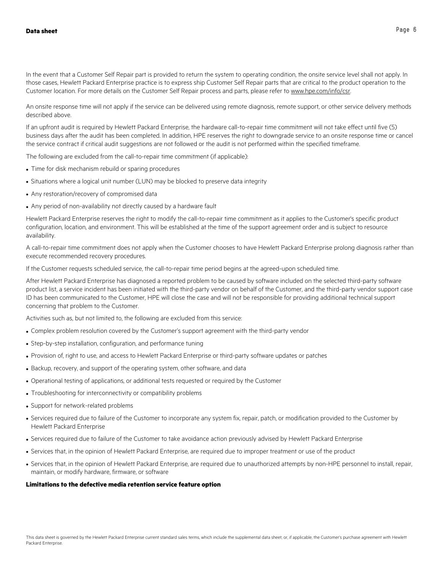In the event that a Customer Self Repair part is provided to return the system to operating condition, the onsite service level shall not apply. In those cases, Hewlett Packard Enterprise practice is to express ship Customer Self Repair parts that are critical to the product operation to the Customer location. For more details on the Customer Self Repair process and parts, please refer to www.hpe.com/info/csr.

An onsite response time will not apply if the service can be delivered using remote diagnosis, remote support, or other service delivery methods described above.

If an upfront audit is required by Hewlett Packard Enterprise, the hardware call-to-repair time commitment will not take effect until five (5) business days after the audit has been completed. In addition, HPE reserves the right to downgrade service to an onsite response time or cancel the service contract if critical audit suggestions are not followed or the audit is not performed within the specified timeframe.

The following are excluded from the call-to-repair time commitment (if applicable):

- Time for disk mechanism rebuild or sparing procedures
- Situations where a logical unit number (LUN) may be blocked to preserve data integrity
- Any restoration/recovery of compromised data
- Any period of non-availability not directly caused by a hardware fault

Hewlett Packard Enterprise reserves the right to modify the call-to-repair time commitment as it applies to the Customer's specific product configuration, location, and environment. This will be established at the time of the support agreement order and is subject to resource availability.

A call-to-repair time commitment does not apply when the Customer chooses to have Hewlett Packard Enterprise prolong diagnosis rather than execute recommended recovery procedures.

If the Customer requests scheduled service, the call-to-repair time period begins at the agreed-upon scheduled time.

After Hewlett Packard Enterprise has diagnosed a reported problem to be caused by software included on the selected third-party software product list, a service incident has been initiated with the third-party vendor on behalf of the Customer, and the third-party vendor support case ID has been communicated to the Customer, HPE will close the case and will not be responsible for providing additional technical support concerning that problem to the Customer.

Activities such as, but not limited to, the following are excluded from this service:

- Complex problem resolution covered by the Customer's support agreement with the third-party vendor
- Step-by-step installation, configuration, and performance tuning
- Provision of, right to use, and access to Hewlett Packard Enterprise or third-party software updates or patches
- Backup, recovery, and support of the operating system, other software, and data
- Operational testing of applications, or additional tests requested or required by the Customer
- Troubleshooting for interconnectivity or compatibility problems
- Support for network-related problems
- Services required due to failure of the Customer to incorporate any system fix, repair, patch, or modification provided to the Customer by Hewlett Packard Enterprise
- Services required due to failure of the Customer to take avoidance action previously advised by Hewlett Packard Enterprise
- Services that, in the opinion of Hewlett Packard Enterprise, are required due to improper treatment or use of the product
- Services that, in the opinion of Hewlett Packard Enterprise, are required due to unauthorized attempts by non-HPE personnel to install, repair, maintain, or modify hardware, firmware, or software

#### **Limitations to the defective media retention service feature option**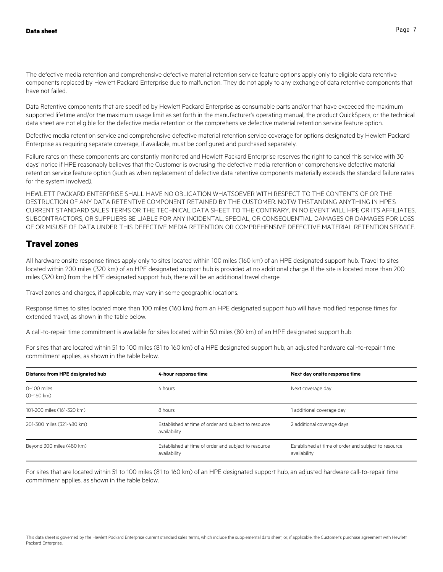The defective media retention and comprehensive defective material retention service feature options apply only to eligible data retentive components replaced by Hewlett Packard Enterprise due to malfunction. They do not apply to any exchange of data retentive components that have not failed.

Data Retentive components that are specified by Hewlett Packard Enterprise as consumable parts and/or that have exceeded the maximum supported lifetime and/or the maximum usage limit as set forth in the manufacturer's operating manual, the product QuickSpecs, or the technical data sheet are not eligible for the defective media retention or the comprehensive defective material retention service feature option.

Defective media retention service and comprehensive defective material retention service coverage for options designated by Hewlett Packard Enterprise as requiring separate coverage, if available, must be configured and purchased separately.

Failure rates on these components are constantly monitored and Hewlett Packard Enterprise reserves the right to cancel this service with 30 days' notice if HPE reasonably believes that the Customer is overusing the defective media retention or comprehensive defective material retention service feature option (such as when replacement of defective data retentive components materially exceeds the standard failure rates for the system involved).

HEWLETT PACKARD ENTERPRISE SHALL HAVE NO OBLIGATION WHATSOEVER WITH RESPECT TO THE CONTENTS OF OR THE DESTRUCTION OF ANY DATA RETENTIVE COMPONENT RETAINED BY THE CUSTOMER. NOTWITHSTANDING ANYTHING IN HPE'S CURRENT STANDARD SALES TERMS OR THE TECHNICAL DATA SHEET TO THE CONTRARY, IN NO EVENT WILL HPE OR ITS AFFILIATES, SUBCONTRACTORS, OR SUPPLIERS BE LIABLE FOR ANY INCIDENTAL, SPECIAL, OR CONSEQUENTIAL DAMAGES OR DAMAGES FOR LOSS OF OR MISUSE OF DATA UNDER THIS DEFECTIVE MEDIA RETENTION OR COMPREHENSIVE DEFECTIVE MATERIAL RETENTION SERVICE.

#### **Travel zones**

All hardware onsite response times apply only to sites located within 100 miles (160 km) of an HPE designated support hub. Travel to sites located within 200 miles (320 km) of an HPE designated support hub is provided at no additional charge. If the site is located more than 200 miles (320 km) from the HPE designated support hub, there will be an additional travel charge.

Travel zones and charges, if applicable, may vary in some geographic locations.

Response times to sites located more than 100 miles (160 km) from an HPE designated support hub will have modified response times for extended travel, as shown in the table below.

A call-to-repair time commitment is available for sites located within 50 miles (80 km) of an HPE designated support hub.

For sites that are located within 51 to 100 miles (81 to 160 km) of a HPE designated support hub, an adjusted hardware call-to-repair time commitment applies, as shown in the table below.

| Distance from HPE designated hub    | 4-hour response time                                                 | Next day onsite response time                                        |
|-------------------------------------|----------------------------------------------------------------------|----------------------------------------------------------------------|
| 0-100 miles<br>$(0-160 \text{ km})$ | 4 hours                                                              | Next coverage day                                                    |
| 101-200 miles (161-320 km)          | 8 hours                                                              | 1 additional coverage day                                            |
| 201-300 miles (321-480 km)          | Established at time of order and subject to resource<br>availability | 2 additional coverage days                                           |
| Beyond 300 miles (480 km)           | Established at time of order and subject to resource<br>availability | Established at time of order and subject to resource<br>availability |

For sites that are located within 51 to 100 miles (81 to 160 km) of an HPE designated support hub, an adjusted hardware call-to-repair time commitment applies, as shown in the table below.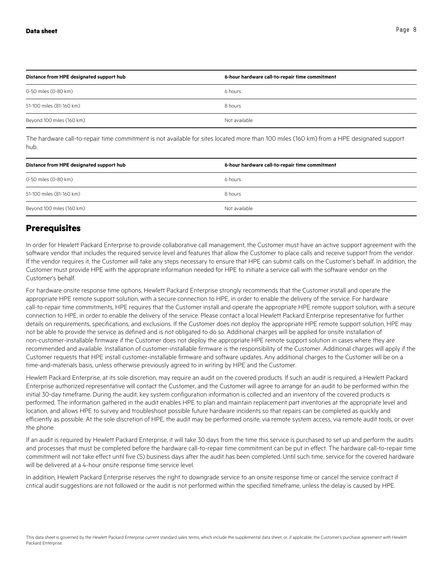| Distance from HPE designated support hub | 6-hour hardware call-to-repair time commitment |
|------------------------------------------|------------------------------------------------|
| 0-50 miles (0-80 km)                     | 6 hours                                        |
| 51-100 miles (81-160 km)                 | 8 hours                                        |
| Beyond 100 miles (160 km)                | Not available                                  |

The hardware call-to-repair time commitment is not available for sites located more than 100 miles (160 km) from a HPE designated support hub.

| Distance from HPE designated support hub | 6-hour hardware call-to-repair time commitment |
|------------------------------------------|------------------------------------------------|
| 0-50 miles (0-80 km)                     | 6 hours                                        |
| 51-100 miles (81-160 km)                 | 8 hours                                        |
| Beyond 100 miles (160 km)                | Not available                                  |

#### **Prerequisites**

In order for Hewlett Packard Enterprise to provide collaborative call management, the Customer must have an active support agreement with the software vendor that includes the required service level and features that allow the Customer to place calls and receive support from the vendor. If the vendor requires it, the Customer will take any steps necessary to ensure that HPE can submit calls on the Customer's behalf. In addition, the Customer must provide HPE with the appropriate information needed for HPE to initiate a service call with the software vendor on the Customer's behalf.

For hardware onsite response time options, Hewlett Packard Enterprise strongly recommends that the Customer install and operate the appropriate HPE remote support solution, with a secure connection to HPE, in order to enable the delivery of the service. For hardware call-to-repair time commitments, HPE requires that the Customer install and operate the appropriate HPE remote support solution, with a secure connection to HPE, in order to enable the delivery of the service. Please contact a local Hewlett Packard Enterprise representative for further details on requirements, specifications, and exclusions. If the Customer does not deploy the appropriate HPE remote support solution, HPE may not be able to provide the service as defined and is not obligated to do so. Additional charges will be applied for onsite installation of non-customer-installable firmware if the Customer does not deploy the appropriate HPE remote support solution in cases where they are recommended and available. Installation of customer-installable firmware is the responsibility of the Customer. Additional charges will apply if the Customer requests that HPE install customer-installable firmware and software updates. Any additional charges to the Customer will be on a time-and-materials basis, unless otherwise previously agreed to in writing by HPE and the Customer.

Hewlett Packard Enterprise, at its sole discretion, may require an audit on the covered products. If such an audit is required, a Hewlett Packard Enterprise authorized representative will contact the Customer, and the Customer will agree to arrange for an audit to be performed within the initial 30-day timeframe. During the audit, key system configuration information is collected and an inventory of the covered products is performed. The information gathered in the audit enables HPE to plan and maintain replacement part inventories at the appropriate level and location, and allows HPE to survey and troubleshoot possible future hardware incidents so that repairs can be completed as quickly and efficiently as possible. At the sole discretion of HPE, the audit may be performed onsite, via remote system access, via remote audit tools, or over the phone.

If an audit is required by Hewlett Packard Enterprise, it will take 30 days from the time this service is purchased to set up and perform the audits and processes that must be completed before the hardware call-to-repair time commitment can be put in effect. The hardware call-to-repair time commitment will not take effect until five (5) business days after the audit has been completed. Until such time, service for the covered hardware will be delivered at a 4-hour onsite response time service level.

In addition, Hewlett Packard Enterprise reserves the right to downgrade service to an onsite response time or cancel the service contract if critical audit suggestions are not followed or the audit is not performed within the specified timeframe, unless the delay is caused by HPE.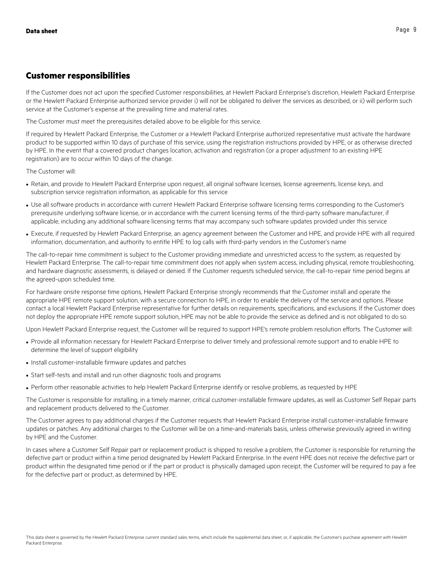#### **Customer responsibilities**

If the Customer does not act upon the specified Customer responsibilities, at Hewlett Packard Enterprise's discretion, Hewlett Packard Enterprise or the Hewlett Packard Enterprise authorized service provider i) will not be obligated to deliver the services as described, or ii) will perform such service at the Customer's expense at the prevailing time and material rates.

The Customer must meet the prerequisites detailed above to be eligible for this service.

If required by Hewlett Packard Enterprise, the Customer or a Hewlett Packard Enterprise authorized representative must activate the hardware product to be supported within 10 days of purchase of this service, using the registration instructions provided by HPE, or as otherwise directed by HPE. In the event that a covered product changes location, activation and registration (or a proper adjustment to an existing HPE registration) are to occur within 10 days of the change.

The Customer will:

- Retain, and provide to Hewlett Packard Enterprise upon request, all original software licenses, license agreements, license keys, and subscription service registration information, as applicable for this service
- Use all software products in accordance with current Hewlett Packard Enterprise software licensing terms corresponding to the Customer's prerequisite underlying software license, or in accordance with the current licensing terms of the third-party software manufacturer, if applicable, including any additional software licensing terms that may accompany such software updates provided under this service
- Execute, if requested by Hewlett Packard Enterprise, an agency agreement between the Customer and HPE, and provide HPE with all required information, documentation, and authority to entitle HPE to log calls with third-party vendors in the Customer's name

The call-to-repair time commitment is subject to the Customer providing immediate and unrestricted access to the system, as requested by Hewlett Packard Enterprise. The call-to-repair time commitment does not apply when system access, including physical, remote troubleshooting, and hardware diagnostic assessments, is delayed or denied. If the Customer requests scheduled service, the call-to-repair time period begins at the agreed-upon scheduled time.

For hardware onsite response time options, Hewlett Packard Enterprise strongly recommends that the Customer install and operate the appropriate HPE remote support solution, with a secure connection to HPE, in order to enable the delivery of the service and options. Please contact a local Hewlett Packard Enterprise representative for further details on requirements, specifications, and exclusions. If the Customer does not deploy the appropriate HPE remote support solution, HPE may not be able to provide the service as defined and is not obligated to do so.

Upon Hewlett Packard Enterprise request, the Customer will be required to support HPE's remote problem resolution efforts. The Customer will:

- Provide all information necessary for Hewlett Packard Enterprise to deliver timely and professional remote support and to enable HPE to determine the level of support eligibility
- Install customer-installable firmware updates and patches
- Start self-tests and install and run other diagnostic tools and programs
- Perform other reasonable activities to help Hewlett Packard Enterprise identify or resolve problems, as requested by HPE

The Customer is responsible for installing, in a timely manner, critical customer-installable firmware updates, as well as Customer Self Repair parts and replacement products delivered to the Customer.

The Customer agrees to pay additional charges if the Customer requests that Hewlett Packard Enterprise install customer-installable firmware updates or patches. Any additional charges to the Customer will be on a time-and-materials basis, unless otherwise previously agreed in writing by HPE and the Customer.

In cases where a Customer Self Repair part or replacement product is shipped to resolve a problem, the Customer is responsible for returning the defective part or product within a time period designated by Hewlett Packard Enterprise. In the event HPE does not receive the defective part or product within the designated time period or if the part or product is physically damaged upon receipt, the Customer will be required to pay a fee for the defective part or product, as determined by HPE.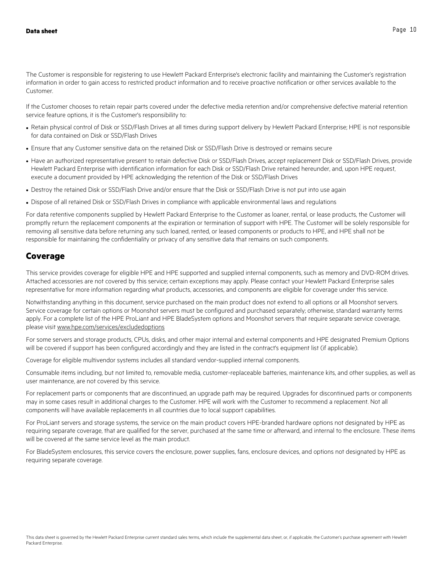The Customer is responsible for registering to use Hewlett Packard Enterprise's electronic facility and maintaining the Customer's registration information in order to gain access to restricted product information and to receive proactive notification or other services available to the Customer.

If the Customer chooses to retain repair parts covered under the defective media retention and/or comprehensive defective material retention service feature options, it is the Customer's responsibility to:

- Retain physical control of Disk or SSD/Flash Drives at all times during support delivery by Hewlett Packard Enterprise; HPE is not responsible for data contained on Disk or SSD/Flash Drives
- Ensure that any Customer sensitive data on the retained Disk or SSD/Flash Drive is destroyed or remains secure
- Have an authorized representative present to retain defective Disk or SSD/Flash Drives, accept replacement Disk or SSD/Flash Drives, provide Hewlett Packard Enterprise with identification information for each Disk or SSD/Flash Drive retained hereunder, and, upon HPE request, execute a document provided by HPE acknowledging the retention of the Disk or SSD/Flash Drives
- Destroy the retained Disk or SSD/Flash Drive and/or ensure that the Disk or SSD/Flash Drive is not put into use again
- Dispose of all retained Disk or SSD/Flash Drives in compliance with applicable environmental laws and regulations

For data retentive components supplied by Hewlett Packard Enterprise to the Customer as loaner, rental, or lease products, the Customer will promptly return the replacement components at the expiration or termination of support with HPE. The Customer will be solely responsible for removing all sensitive data before returning any such loaned, rented, or leased components or products to HPE, and HPE shall not be responsible for maintaining the confidentiality or privacy of any sensitive data that remains on such components.

#### **Coverage**

This service provides coverage for eligible HPE and HPE supported and supplied internal components, such as memory and DVD-ROM drives. Attached accessories are not covered by this service; certain exceptions may apply. Please contact your Hewlett Packard Enterprise sales representative for more information regarding what products, accessories, and components are eligible for coverage under this service.

Notwithstanding anything in this document, service purchased on the main product does not extend to all options or all Moonshot servers. Service coverage for certain options or Moonshot servers must be configured and purchased separately; otherwise, standard warranty terms apply. For a complete list of the HPE ProLiant and HPE BladeSystem options and Moonshot servers that require separate service coverage, please visit www.hpe.com/services/excludedoptions

For some servers and storage products, CPUs, disks, and other major internal and external components and HPE designated Premium Options will be covered if support has been configured accordingly and they are listed in the contract's equipment list (if applicable).

Coverage for eligible multivendor systems includes all standard vendor-supplied internal components.

Consumable items including, but not limited to, removable media, customer-replaceable batteries, maintenance kits, and other supplies, as well as user maintenance, are not covered by this service.

For replacement parts or components that are discontinued, an upgrade path may be required. Upgrades for discontinued parts or components may in some cases result in additional charges to the Customer. HPE will work with the Customer to recommend a replacement. Not all components will have available replacements in all countries due to local support capabilities.

For ProLiant servers and storage systems, the service on the main product covers HPE-branded hardware options not designated by HPE as requiring separate coverage, that are qualified for the server, purchased at the same time or afterward, and internal to the enclosure. These items will be covered at the same service level as the main product.

For BladeSystem enclosures, this service covers the enclosure, power supplies, fans, enclosure devices, and options not designated by HPE as requiring separate coverage.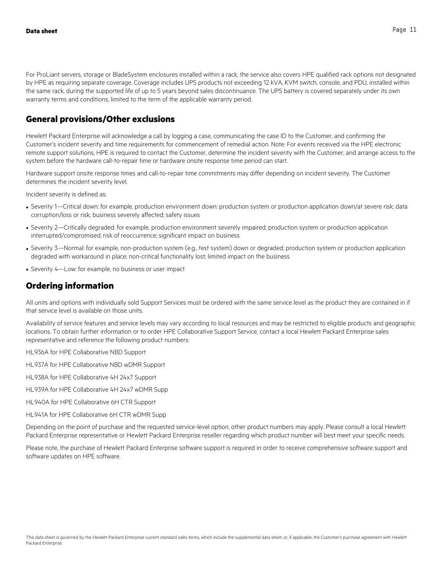For ProLiant servers, storage or BladeSystem enclosures installed within a rack, the service also covers HPE qualified rack options not designated by HPE as requiring separate coverage. Coverage includes UPS products not exceeding 12 kVA, KVM switch, console, and PDU, installed within the same rack, during the supported life of up to 5 years beyond sales discontinuance. The UPS battery is covered separately under its own warranty terms and conditions, limited to the term of the applicable warranty period.

## **General provisions/Other exclusions**

Hewlett Packard Enterprise will acknowledge a call by logging a case, communicating the case ID to the Customer, and confirming the Customer's incident severity and time requirements for commencement of remedial action. Note: For events received via the HPE electronic remote support solutions, HPE is required to contact the Customer, determine the incident severity with the Customer, and arrange access to the system before the hardware call-to-repair time or hardware onsite response time period can start.

Hardware support onsite response times and call-to-repair time commitments may differ depending on incident severity. The Customer determines the incident severity level.

Incident severity is defined as:

- Severity 1—Critical down: for example, production environment down: production system or production application down/at severe risk; data corruption/loss or risk; business severely affected; safety issues
- Severity 2—Critically degraded: for example, production environment severely impaired; production system or production application interrupted/compromised; risk of reoccurrence; significant impact on business
- Severity 3—Normal: for example, non-production system (e.g., test system) down or degraded; production system or production application degraded with workaround in place; non-critical functionality lost; limited impact on the business
- Severity 4—Low: for example, no business or user impact

#### **Ordering information**

All units and options with individually sold Support Services must be ordered with the same service level as the product they are contained in if that service level is available on those units.

Availability of service features and service levels may vary according to local resources and may be restricted to eligible products and geographic locations. To obtain further information or to order HPE Collaborative Support Service, contact a local Hewlett Packard Enterprise sales representative and reference the following product numbers:

HL936A for HPE Collaborative NBD Support

HL937A for HPE Collaborative NBD wDMR Support

HL938A for HPE Collaborative 4H 24x7 Support

- HL939A for HPE Collaborative 4H 24x7 wDMR Supp
- HL940A for HPE Collaborative 6H CTR Support
- HL941A for HPE Collaborative 6H CTR wDMR Supp

Depending on the point of purchase and the requested service-level option, other product numbers may apply. Please consult a local Hewlett Packard Enterprise representative or Hewlett Packard Enterprise reseller regarding which product number will best meet your specific needs.

Please note, the purchase of Hewlett Packard Enterprise software support is required in order to receive comprehensive software support and software updates on HPE software.